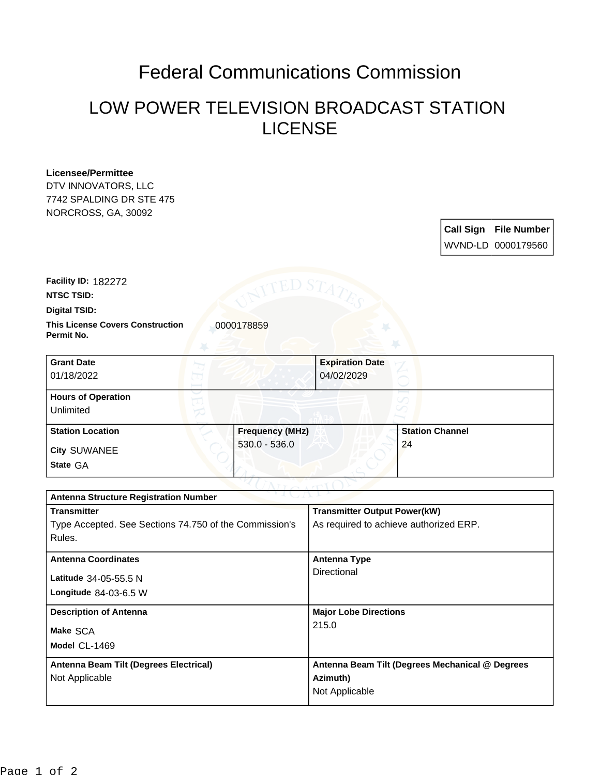## Federal Communications Commission

## LOW POWER TELEVISION BROADCAST STATION LICENSE

## **Licensee/Permittee**

DTV INNOVATORS, LLC 7742 SPALDING DR STE 475 NORCROSS, GA, 30092

> **Call Sign File Number** WVND-LD 0000179560

**Facility ID:** 182272

**NTSC TSID:**

**Digital TSID:**

**This License Covers Construction**  0000178859 **Permit No.**

| <b>Grant Date</b><br>01/18/2022        | <b>Expiration Date</b><br>04/02/2029 |                        |
|----------------------------------------|--------------------------------------|------------------------|
| <b>Hours of Operation</b><br>Unlimited |                                      |                        |
| <b>Station Location</b>                | <b>Frequency (MHz)</b>               | <b>Station Channel</b> |
| <b>City SUWANEE</b><br>State GA        | $530.0 - 536.0$                      | 24                     |

| ヘマゴ しっかいしゃ<br><b>Antenna Structure Registration Number</b> |                                                 |  |  |
|------------------------------------------------------------|-------------------------------------------------|--|--|
| <b>Transmitter</b>                                         | <b>Transmitter Output Power(kW)</b>             |  |  |
| Type Accepted. See Sections 74.750 of the Commission's     | As required to achieve authorized ERP.          |  |  |
| Rules.                                                     |                                                 |  |  |
| <b>Antenna Coordinates</b>                                 | <b>Antenna Type</b>                             |  |  |
|                                                            | Directional                                     |  |  |
| Latitude 34-05-55.5 N                                      |                                                 |  |  |
| Longitude $84-03-6.5$ W                                    |                                                 |  |  |
| <b>Description of Antenna</b>                              | <b>Major Lobe Directions</b>                    |  |  |
| Make SCA                                                   | 215.0                                           |  |  |
| Model CL-1469                                              |                                                 |  |  |
|                                                            |                                                 |  |  |
| Antenna Beam Tilt (Degrees Electrical)                     | Antenna Beam Tilt (Degrees Mechanical @ Degrees |  |  |
| Not Applicable                                             | Azimuth)                                        |  |  |
|                                                            | Not Applicable                                  |  |  |
|                                                            |                                                 |  |  |